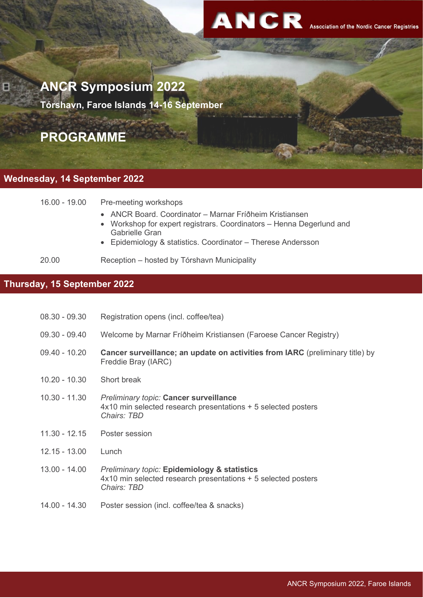ANCR Association of the Nordic Cancer Registries

## **ANCR Symposium 2022**

**Tórshavn, Faroe Islands 14-16 September**

**PROGRAMME**

## **Wednesday, 14 September 2022**

| $16.00 - 19.00$             | Pre-meeting workshops<br>• ANCR Board. Coordinator - Marnar Fríðheim Kristiansen<br>Workshop for expert registrars. Coordinators – Henna Degerlund and<br><b>Gabrielle Gran</b><br>• Epidemiology & statistics. Coordinator - Therese Andersson |  |
|-----------------------------|-------------------------------------------------------------------------------------------------------------------------------------------------------------------------------------------------------------------------------------------------|--|
| 20.00                       | Reception – hosted by Tórshavn Municipality                                                                                                                                                                                                     |  |
| Thursday, 15 September 2022 |                                                                                                                                                                                                                                                 |  |
|                             |                                                                                                                                                                                                                                                 |  |
| $08.30 - 09.30$             | Registration opens (incl. coffee/tea)                                                                                                                                                                                                           |  |
| 09.30 - 09.40               | Welcome by Marnar Fríðheim Kristiansen (Faroese Cancer Registry)                                                                                                                                                                                |  |
| 09.40 - 10.20               | Cancer surveillance; an update on activities from IARC (preliminary title) by<br>Freddie Bray (IARC)                                                                                                                                            |  |
| $10.20 - 10.30$             | Short break                                                                                                                                                                                                                                     |  |
| $10.30 - 11.30$             | <b>Preliminary topic: Cancer surveillance</b><br>4x10 min selected research presentations + 5 selected posters<br>Chairs: TBD                                                                                                                   |  |
| $11.30 - 12.15$             | Poster session                                                                                                                                                                                                                                  |  |
| $12.15 - 13.00$             | Lunch                                                                                                                                                                                                                                           |  |

- 13.00 14.00 *Preliminary topic:* **Epidemiology & statistics** 4x10 min selected research presentations + 5 selected posters *Chairs: TBD*
- 14.00 14.30 Poster session (incl. coffee/tea & snacks)